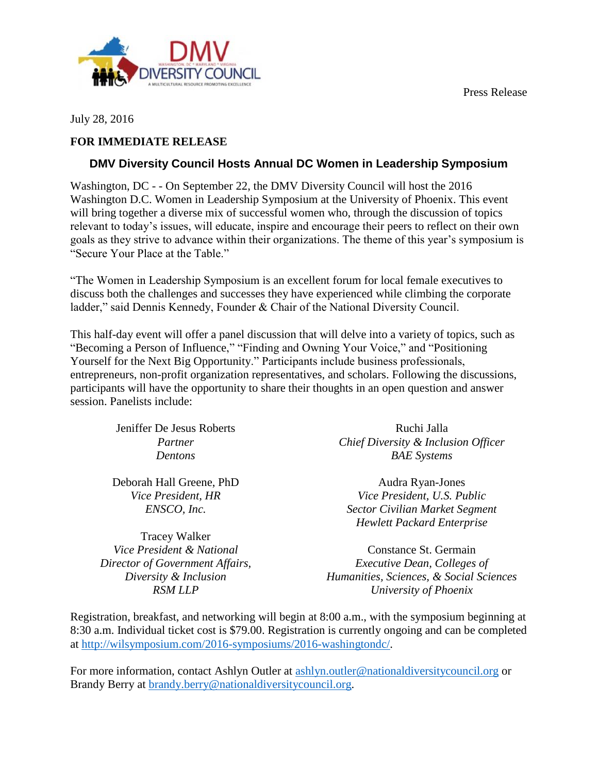Press Release



*RSM LLP*

July 28, 2016

## **FOR IMMEDIATE RELEASE**

## **DMV Diversity Council Hosts Annual DC Women in Leadership Symposium**

Washington, DC - - On September 22, the DMV Diversity Council will host the 2016 Washington D.C. Women in Leadership Symposium at the University of Phoenix. This event will bring together a diverse mix of successful women who, through the discussion of topics relevant to today's issues, will educate, inspire and encourage their peers to reflect on their own goals as they strive to advance within their organizations. The theme of this year's symposium is "Secure Your Place at the Table."

"The Women in Leadership Symposium is an excellent forum for local female executives to discuss both the challenges and successes they have experienced while climbing the corporate ladder," said Dennis Kennedy, Founder & Chair of the National Diversity Council.

This half-day event will offer a panel discussion that will delve into a variety of topics, such as "Becoming a Person of Influence," "Finding and Owning Your Voice," and "Positioning Yourself for the Next Big Opportunity." Participants include business professionals, entrepreneurs, non-profit organization representatives, and scholars. Following the discussions, participants will have the opportunity to share their thoughts in an open question and answer session. Panelists include:

| Jeniffer De Jesus Roberts       | Ruchi Jalla                             |
|---------------------------------|-----------------------------------------|
| Partner                         | Chief Diversity & Inclusion Officer     |
| Dentons                         | <b>BAE</b> Systems                      |
| Deborah Hall Greene, PhD        | Audra Ryan-Jones                        |
| Vice President, HR              | Vice President, U.S. Public             |
| ENSCO, Inc.                     | Sector Civilian Market Segment          |
|                                 | <b>Hewlett Packard Enterprise</b>       |
| <b>Tracey Walker</b>            |                                         |
| Vice President & National       | Constance St. Germain                   |
| Director of Government Affairs, | <i>Executive Dean, Colleges of</i>      |
| Diversity & Inclusion           | Humanities, Sciences, & Social Sciences |

*University of Phoenix*

Registration, breakfast, and networking will begin at 8:00 a.m., with the symposium beginning at 8:30 a.m. Individual ticket cost is \$79.00. Registration is currently ongoing and can be completed at [http://wilsymposium.com/2016-symposiums/2016-washingtondc/.](http://wilsymposium.com/2016-symposiums/2016-washingtondc/)

For more information, contact Ashlyn Outler at [ashlyn.outler@nationaldiversitycouncil.org](mailto:ashlyn.outler@nationaldiversitycouncil.org) or Brandy Berry at [brandy.berry@nationaldiversitycouncil.org.](mailto:brandy.berry@nationaldiversitycouncil.org)